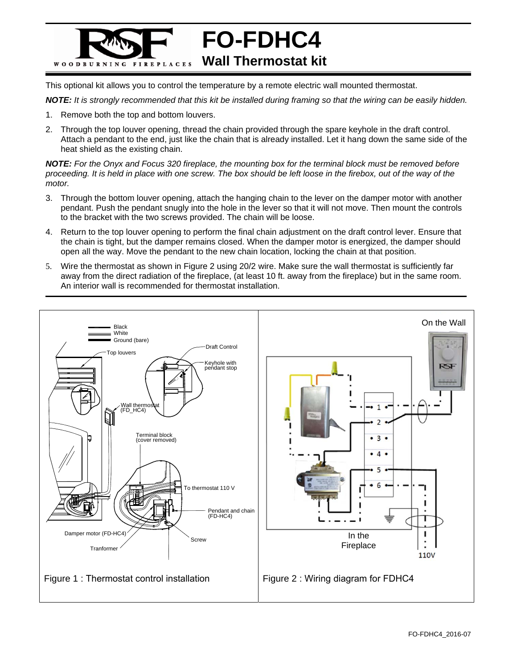

This optional kit allows you to control the temperature by a remote electric wall mounted thermostat.

*NOTE: It is strongly recommended that this kit be installed during framing so that the wiring can be easily hidden.* 

- 1. Remove both the top and bottom louvers.
- 2. Through the top louver opening, thread the chain provided through the spare keyhole in the draft control. Attach a pendant to the end, just like the chain that is already installed. Let it hang down the same side of the heat shield as the existing chain.

*NOTE: For the Onyx and Focus 320 fireplace, the mounting box for the terminal block must be removed before proceeding. It is held in place with one screw. The box should be left loose in the firebox, out of the way of the motor.*

- 3. Through the bottom louver opening, attach the hanging chain to the lever on the damper motor with another pendant. Push the pendant snugly into the hole in the lever so that it will not move. Then mount the controls to the bracket with the two screws provided. The chain will be loose.
- 4. Return to the top louver opening to perform the final chain adjustment on the draft control lever. Ensure that the chain is tight, but the damper remains closed. When the damper motor is energized, the damper should open all the way. Move the pendant to the new chain location, locking the chain at that position.
- 5. Wire the thermostat as shown in Figure 2 using 20/2 wire. Make sure the wall thermostat is sufficiently far away from the direct radiation of the fireplace, (at least 10 ft. away from the fireplace) but in the same room. An interior wall is recommended for thermostat installation.